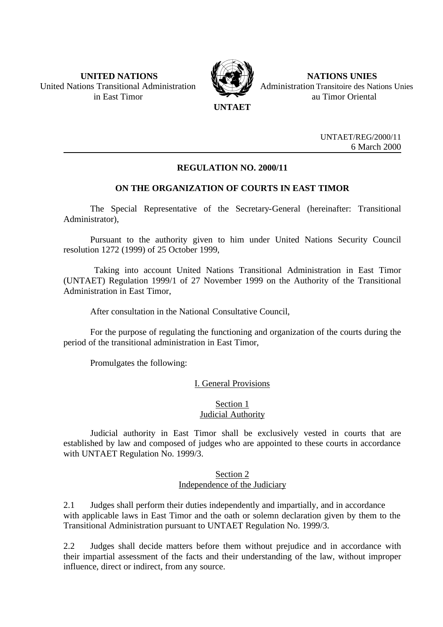

 **UNITED NATIONS NATIONS UNIES** in East Timor au Timor Oriental

**UNTAET**

UNTAET/REG/2000/11 6 March 2000

# **REGULATION NO. 2000/11**

# **ON THE ORGANIZATION OF COURTS IN EAST TIMOR**

The Special Representative of the Secretary-General (hereinafter: Transitional Administrator),

Pursuant to the authority given to him under United Nations Security Council resolution 1272 (1999) of 25 October 1999,

Taking into account United Nations Transitional Administration in East Timor (UNTAET) Regulation 1999/1 of 27 November 1999 on the Authority of the Transitional Administration in East Timor,

After consultation in the National Consultative Council,

For the purpose of regulating the functioning and organization of the courts during the period of the transitional administration in East Timor,

Promulgates the following:

# I. General Provisions

### Section 1 Judicial Authority

Judicial authority in East Timor shall be exclusively vested in courts that are established by law and composed of judges who are appointed to these courts in accordance with UNTAET Regulation No. 1999/3.

#### Section 2 Independence of the Judiciary

2.1 Judges shall perform their duties independently and impartially, and in accordance with applicable laws in East Timor and the oath or solemn declaration given by them to the Transitional Administration pursuant to UNTAET Regulation No. 1999/3.

2.2 Judges shall decide matters before them without prejudice and in accordance with their impartial assessment of the facts and their understanding of the law, without improper influence, direct or indirect, from any source.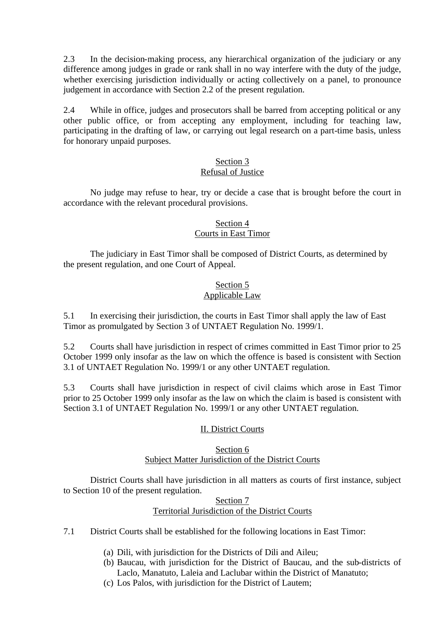2.3 In the decision-making process, any hierarchical organization of the judiciary or any difference among judges in grade or rank shall in no way interfere with the duty of the judge, whether exercising jurisdiction individually or acting collectively on a panel, to pronounce judgement in accordance with Section 2.2 of the present regulation.

2.4 While in office, judges and prosecutors shall be barred from accepting political or any other public office, or from accepting any employment, including for teaching law, participating in the drafting of law, or carrying out legal research on a part-time basis, unless for honorary unpaid purposes.

## Section 3 Refusal of Justice

No judge may refuse to hear, try or decide a case that is brought before the court in accordance with the relevant procedural provisions.

# Section 4 Courts in East Timor

The judiciary in East Timor shall be composed of District Courts, as determined by the present regulation, and one Court of Appeal.

## Section 5 Applicable Law

5.1 In exercising their jurisdiction, the courts in East Timor shall apply the law of East Timor as promulgated by Section 3 of UNTAET Regulation No. 1999/1.

5.2 Courts shall have jurisdiction in respect of crimes committed in East Timor prior to 25 October 1999 only insofar as the law on which the offence is based is consistent with Section 3.1 of UNTAET Regulation No. 1999/1 or any other UNTAET regulation.

5.3 Courts shall have jurisdiction in respect of civil claims which arose in East Timor prior to 25 October 1999 only insofar as the law on which the claim is based is consistent with Section 3.1 of UNTAET Regulation No. 1999/1 or any other UNTAET regulation.

# II. District Courts

# Section 6 Subject Matter Jurisdiction of the District Courts

District Courts shall have jurisdiction in all matters as courts of first instance, subject to Section 10 of the present regulation.

### Section 7 Territorial Jurisdiction of the District Courts

- 7.1 District Courts shall be established for the following locations in East Timor:
	- (a) Dili, with jurisdiction for the Districts of Dili and Aileu;
	- (b) Baucau, with jurisdiction for the District of Baucau, and the sub-districts of Laclo, Manatuto, Laleia and Laclubar within the District of Manatuto;
	- (c) Los Palos, with jurisdiction for the District of Lautem;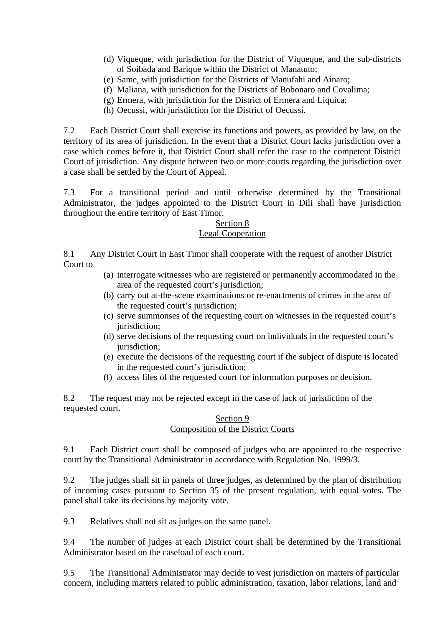- (d) Viqueque, with jurisdiction for the District of Viqueque, and the sub-districts of Soibada and Barique within the District of Manatuto;
- (e) Same, with jurisdiction for the Districts of Manufahi and Ainaro;
- (f) Maliana, with jurisdiction for the Districts of Bobonaro and Covalima;
- (g) Ermera, with jurisdiction for the District of Ermera and Liquica;
- (h) Oecussi, with jurisdiction for the District of Oecussi.

7.2 Each District Court shall exercise its functions and powers, as provided by law, on the territory of its area of jurisdiction. In the event that a District Court lacks jurisdiction over a case which comes before it, that District Court shall refer the case to the competent District Court of jurisdiction. Any dispute between two or more courts regarding the jurisdiction over a case shall be settled by the Court of Appeal.

7.3 For a transitional period and until otherwise determined by the Transitional Administrator, the judges appointed to the District Court in Dili shall have jurisdiction throughout the entire territory of East Timor.

#### Section 8

#### Legal Cooperation

8.1 Any District Court in East Timor shall cooperate with the request of another District Court to

- (a) interrogate witnesses who are registered or permanently accommodated in the area of the requested court's jurisdiction;
- (b) carry out at-the-scene examinations or re-enactments of crimes in the area of the requested court's jurisdiction;
- (c) serve summonses of the requesting court on witnesses in the requested court's jurisdiction:
- (d) serve decisions of the requesting court on individuals in the requested court's jurisdiction;
- (e) execute the decisions of the requesting court if the subject of dispute is located in the requested court's jurisdiction;
- (f) access files of the requested court for information purposes or decision.

8.2 The request may not be rejected except in the case of lack of jurisdiction of the requested court.

#### Section 9 Composition of the District Courts

9.1 Each District court shall be composed of judges who are appointed to the respective court by the Transitional Administrator in accordance with Regulation No. 1999/3.

9.2 The judges shall sit in panels of three judges, as determined by the plan of distribution of incoming cases pursuant to Section 35 of the present regulation, with equal votes. The panel shall take its decisions by majority vote.

9.3 Relatives shall not sit as judges on the same panel.

9.4 The number of judges at each District court shall be determined by the Transitional Administrator based on the caseload of each court.

9.5 The Transitional Administrator may decide to vest jurisdiction on matters of particular concern, including matters related to public administration, taxation, labor relations, land and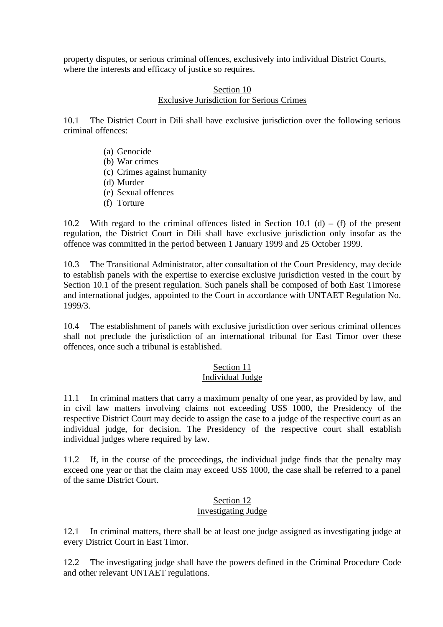property disputes, or serious criminal offences, exclusively into individual District Courts, where the interests and efficacy of justice so requires.

### Section 10 Exclusive Jurisdiction for Serious Crimes

10.1 The District Court in Dili shall have exclusive jurisdiction over the following serious criminal offences:

- (a) Genocide
- (b) War crimes
- (c) Crimes against humanity
- (d) Murder
- (e) Sexual offences
- (f) Torture

10.2 With regard to the criminal offences listed in Section 10.1 (d) – (f) of the present regulation, the District Court in Dili shall have exclusive jurisdiction only insofar as the offence was committed in the period between 1 January 1999 and 25 October 1999.

10.3 The Transitional Administrator, after consultation of the Court Presidency, may decide to establish panels with the expertise to exercise exclusive jurisdiction vested in the court by Section 10.1 of the present regulation. Such panels shall be composed of both East Timorese and international judges, appointed to the Court in accordance with UNTAET Regulation No. 1999/3.

10.4 The establishment of panels with exclusive jurisdiction over serious criminal offences shall not preclude the jurisdiction of an international tribunal for East Timor over these offences, once such a tribunal is established.

#### Section 11 Individual Judge

11.1 In criminal matters that carry a maximum penalty of one year, as provided by law, and in civil law matters involving claims not exceeding US\$ 1000, the Presidency of the respective District Court may decide to assign the case to a judge of the respective court as an individual judge, for decision. The Presidency of the respective court shall establish individual judges where required by law.

11.2 If, in the course of the proceedings, the individual judge finds that the penalty may exceed one year or that the claim may exceed US\$ 1000, the case shall be referred to a panel of the same District Court.

### Section 12 Investigating Judge

12.1 In criminal matters, there shall be at least one judge assigned as investigating judge at every District Court in East Timor.

12.2 The investigating judge shall have the powers defined in the Criminal Procedure Code and other relevant UNTAET regulations.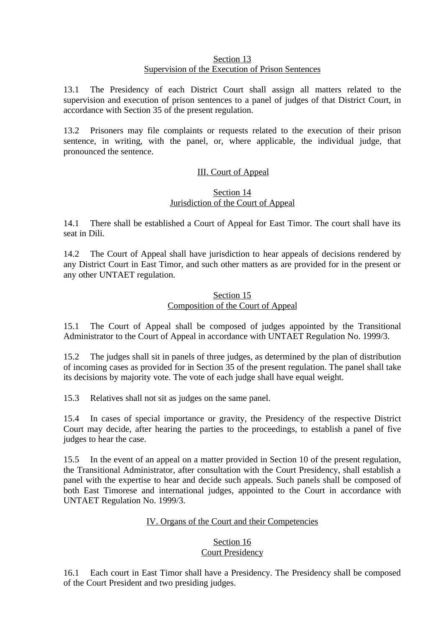#### Section 13 Supervision of the Execution of Prison Sentences

13.1 The Presidency of each District Court shall assign all matters related to the supervision and execution of prison sentences to a panel of judges of that District Court, in accordance with Section 35 of the present regulation.

13.2 Prisoners may file complaints or requests related to the execution of their prison sentence, in writing, with the panel, or, where applicable, the individual judge, that pronounced the sentence.

# III. Court of Appeal

### Section 14 Jurisdiction of the Court of Appeal

14.1 There shall be established a Court of Appeal for East Timor. The court shall have its seat in Dili.

14.2 The Court of Appeal shall have jurisdiction to hear appeals of decisions rendered by any District Court in East Timor, and such other matters as are provided for in the present or any other UNTAET regulation.

### Section 15 Composition of the Court of Appeal

15.1 The Court of Appeal shall be composed of judges appointed by the Transitional Administrator to the Court of Appeal in accordance with UNTAET Regulation No. 1999/3.

15.2 The judges shall sit in panels of three judges, as determined by the plan of distribution of incoming cases as provided for in Section 35 of the present regulation. The panel shall take its decisions by majority vote. The vote of each judge shall have equal weight.

15.3 Relatives shall not sit as judges on the same panel.

15.4 In cases of special importance or gravity, the Presidency of the respective District Court may decide, after hearing the parties to the proceedings, to establish a panel of five judges to hear the case.

15.5 In the event of an appeal on a matter provided in Section 10 of the present regulation, the Transitional Administrator, after consultation with the Court Presidency, shall establish a panel with the expertise to hear and decide such appeals. Such panels shall be composed of both East Timorese and international judges, appointed to the Court in accordance with UNTAET Regulation No. 1999/3.

# IV. Organs of the Court and their Competencies

#### Section 16 Court Presidency

16.1 Each court in East Timor shall have a Presidency. The Presidency shall be composed of the Court President and two presiding judges.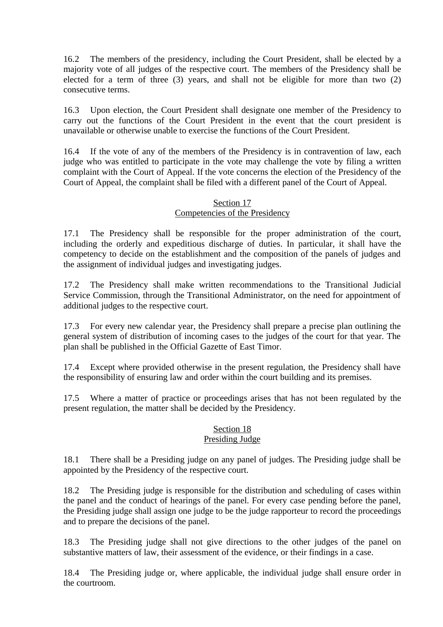16.2 The members of the presidency, including the Court President, shall be elected by a majority vote of all judges of the respective court. The members of the Presidency shall be elected for a term of three (3) years, and shall not be eligible for more than two (2) consecutive terms.

16.3 Upon election, the Court President shall designate one member of the Presidency to carry out the functions of the Court President in the event that the court president is unavailable or otherwise unable to exercise the functions of the Court President.

16.4 If the vote of any of the members of the Presidency is in contravention of law, each judge who was entitled to participate in the vote may challenge the vote by filing a written complaint with the Court of Appeal. If the vote concerns the election of the Presidency of the Court of Appeal, the complaint shall be filed with a different panel of the Court of Appeal.

## Section 17 Competencies of the Presidency

17.1 The Presidency shall be responsible for the proper administration of the court, including the orderly and expeditious discharge of duties. In particular, it shall have the competency to decide on the establishment and the composition of the panels of judges and the assignment of individual judges and investigating judges.

17.2 The Presidency shall make written recommendations to the Transitional Judicial Service Commission, through the Transitional Administrator, on the need for appointment of additional judges to the respective court.

17.3 For every new calendar year, the Presidency shall prepare a precise plan outlining the general system of distribution of incoming cases to the judges of the court for that year. The plan shall be published in the Official Gazette of East Timor.

17.4 Except where provided otherwise in the present regulation, the Presidency shall have the responsibility of ensuring law and order within the court building and its premises.

17.5 Where a matter of practice or proceedings arises that has not been regulated by the present regulation, the matter shall be decided by the Presidency.

# Section 18 Presiding Judge

18.1 There shall be a Presiding judge on any panel of judges. The Presiding judge shall be appointed by the Presidency of the respective court.

18.2 The Presiding judge is responsible for the distribution and scheduling of cases within the panel and the conduct of hearings of the panel. For every case pending before the panel, the Presiding judge shall assign one judge to be the judge rapporteur to record the proceedings and to prepare the decisions of the panel.

18.3 The Presiding judge shall not give directions to the other judges of the panel on substantive matters of law, their assessment of the evidence, or their findings in a case.

18.4 The Presiding judge or, where applicable, the individual judge shall ensure order in the courtroom.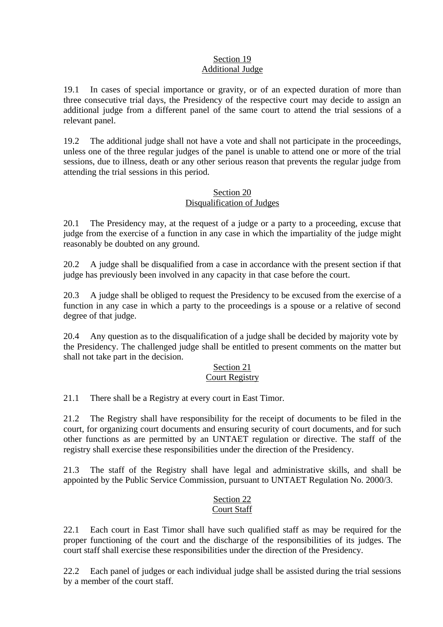### Section 19 Additional Judge

19.1 In cases of special importance or gravity, or of an expected duration of more than three consecutive trial days, the Presidency of the respective court may decide to assign an additional judge from a different panel of the same court to attend the trial sessions of a relevant panel.

19.2 The additional judge shall not have a vote and shall not participate in the proceedings, unless one of the three regular judges of the panel is unable to attend one or more of the trial sessions, due to illness, death or any other serious reason that prevents the regular judge from attending the trial sessions in this period.

# Section 20 Disqualification of Judges

20.1 The Presidency may, at the request of a judge or a party to a proceeding, excuse that judge from the exercise of a function in any case in which the impartiality of the judge might reasonably be doubted on any ground.

20.2 A judge shall be disqualified from a case in accordance with the present section if that judge has previously been involved in any capacity in that case before the court.

20.3 A judge shall be obliged to request the Presidency to be excused from the exercise of a function in any case in which a party to the proceedings is a spouse or a relative of second degree of that judge.

20.4 Any question as to the disqualification of a judge shall be decided by majority vote by the Presidency. The challenged judge shall be entitled to present comments on the matter but shall not take part in the decision.

#### Section 21 Court Registry

21.1 There shall be a Registry at every court in East Timor.

21.2 The Registry shall have responsibility for the receipt of documents to be filed in the court, for organizing court documents and ensuring security of court documents, and for such other functions as are permitted by an UNTAET regulation or directive. The staff of the registry shall exercise these responsibilities under the direction of the Presidency.

21.3 The staff of the Registry shall have legal and administrative skills, and shall be appointed by the Public Service Commission, pursuant to UNTAET Regulation No. 2000/3.

# Section 22 Court Staff

22.1 Each court in East Timor shall have such qualified staff as may be required for the proper functioning of the court and the discharge of the responsibilities of its judges. The court staff shall exercise these responsibilities under the direction of the Presidency.

22.2 Each panel of judges or each individual judge shall be assisted during the trial sessions by a member of the court staff.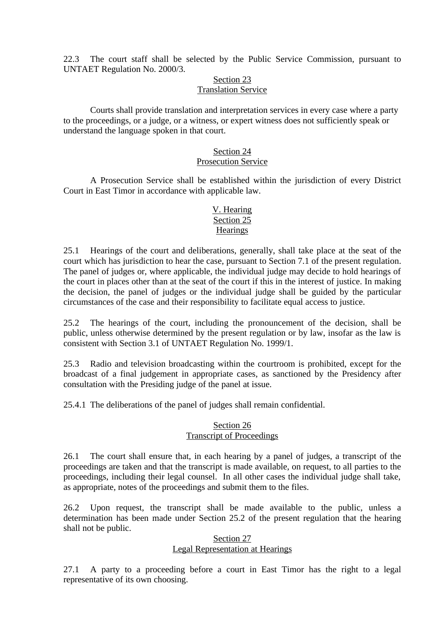22.3 The court staff shall be selected by the Public Service Commission, pursuant to UNTAET Regulation No. 2000/3.

#### Section 23 Translation Service

Courts shall provide translation and interpretation services in every case where a party to the proceedings, or a judge, or a witness, or expert witness does not sufficiently speak or understand the language spoken in that court.

### Section 24 Prosecution Service

A Prosecution Service shall be established within the jurisdiction of every District Court in East Timor in accordance with applicable law.

# V. Hearing Section 25 **Hearings**

25.1 Hearings of the court and deliberations, generally, shall take place at the seat of the court which has jurisdiction to hear the case, pursuant to Section 7.1 of the present regulation. The panel of judges or, where applicable, the individual judge may decide to hold hearings of the court in places other than at the seat of the court if this in the interest of justice. In making the decision, the panel of judges or the individual judge shall be guided by the particular circumstances of the case and their responsibility to facilitate equal access to justice.

25.2 The hearings of the court, including the pronouncement of the decision, shall be public, unless otherwise determined by the present regulation or by law, insofar as the law is consistent with Section 3.1 of UNTAET Regulation No. 1999/1.

25.3 Radio and television broadcasting within the courtroom is prohibited, except for the broadcast of a final judgement in appropriate cases, as sanctioned by the Presidency after consultation with the Presiding judge of the panel at issue.

25.4.1 The deliberations of the panel of judges shall remain confidential.

### Section 26 Transcript of Proceedings

26.1 The court shall ensure that, in each hearing by a panel of judges, a transcript of the proceedings are taken and that the transcript is made available, on request, to all parties to the proceedings, including their legal counsel. In all other cases the individual judge shall take, as appropriate, notes of the proceedings and submit them to the files.

26.2 Upon request, the transcript shall be made available to the public, unless a determination has been made under Section 25.2 of the present regulation that the hearing shall not be public.

#### Section 27 Legal Representation at Hearings

27.1 A party to a proceeding before a court in East Timor has the right to a legal representative of its own choosing.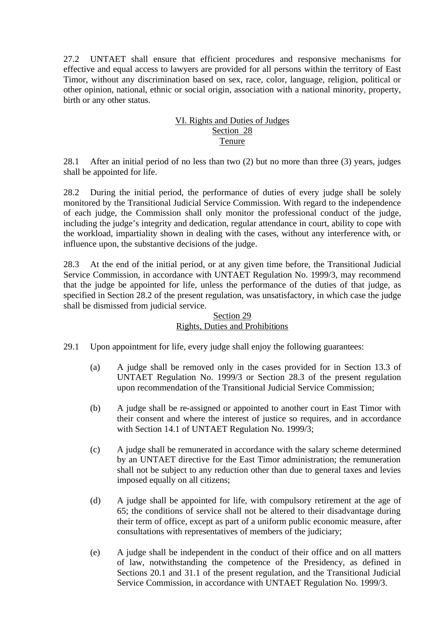27.2 UNTAET shall ensure that efficient procedures and responsive mechanisms for effective and equal access to lawyers are provided for all persons within the territory of East Timor, without any discrimination based on sex, race, color, language, religion, political or other opinion, national, ethnic or social origin, association with a national minority, property, birth or any other status.

# VI. Rights and Duties of Judges Section 28 Tenure

28.1 After an initial period of no less than two (2) but no more than three (3) years, judges shall be appointed for life.

28.2 During the initial period, the performance of duties of every judge shall be solely monitored by the Transitional Judicial Service Commission. With regard to the independence of each judge, the Commission shall only monitor the professional conduct of the judge, including the judge's integrity and dedication, regular attendance in court, ability to cope with the workload, impartiality shown in dealing with the cases, without any interference with, or influence upon, the substantive decisions of the judge.

28.3 At the end of the initial period, or at any given time before, the Transitional Judicial Service Commission, in accordance with UNTAET Regulation No. 1999/3, may recommend that the judge be appointed for life, unless the performance of the duties of that judge, as specified in Section 28.2 of the present regulation, was unsatisfactory, in which case the judge shall be dismissed from judicial service.

#### Section 29 Rights, Duties and Prohibitions

29.1 Upon appointment for life, every judge shall enjoy the following guarantees:

- (a) A judge shall be removed only in the cases provided for in Section 13.3 of UNTAET Regulation No. 1999/3 or Section 28.3 of the present regulation upon recommendation of the Transitional Judicial Service Commission;
- (b) A judge shall be re-assigned or appointed to another court in East Timor with their consent and where the interest of justice so requires, and in accordance with Section 14.1 of UNTAET Regulation No. 1999/3;
- (c) A judge shall be remunerated in accordance with the salary scheme determined by an UNTAET directive for the East Timor administration; the remuneration shall not be subject to any reduction other than due to general taxes and levies imposed equally on all citizens;
- (d) A judge shall be appointed for life, with compulsory retirement at the age of 65; the conditions of service shall not be altered to their disadvantage during their term of office, except as part of a uniform public economic measure, after consultations with representatives of members of the judiciary;
- (e) A judge shall be independent in the conduct of their office and on all matters of law, notwithstanding the competence of the Presidency, as defined in Sections 20.1 and 31.1 of the present regulation, and the Transitional Judicial Service Commission, in accordance with UNTAET Regulation No. 1999/3.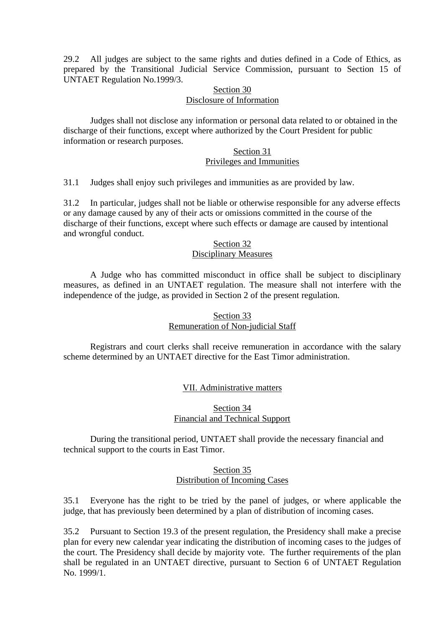29.2 All judges are subject to the same rights and duties defined in a Code of Ethics, as prepared by the Transitional Judicial Service Commission, pursuant to Section 15 of UNTAET Regulation No.1999/3.

#### Section 30 Disclosure of Information

Judges shall not disclose any information or personal data related to or obtained in the discharge of their functions, except where authorized by the Court President for public information or research purposes.

### Section 31 Privileges and Immunities

31.1 Judges shall enjoy such privileges and immunities as are provided by law.

31.2 In particular, judges shall not be liable or otherwise responsible for any adverse effects or any damage caused by any of their acts or omissions committed in the course of the discharge of their functions, except where such effects or damage are caused by intentional and wrongful conduct.

#### Section 32 Disciplinary Measures

A Judge who has committed misconduct in office shall be subject to disciplinary measures, as defined in an UNTAET regulation. The measure shall not interfere with the independence of the judge, as provided in Section 2 of the present regulation.

# Section 33 Remuneration of Non-judicial Staff

Registrars and court clerks shall receive remuneration in accordance with the salary scheme determined by an UNTAET directive for the East Timor administration.

# VII. Administrative matters

# Section 34 Financial and Technical Support

During the transitional period, UNTAET shall provide the necessary financial and technical support to the courts in East Timor.

# Section 35 Distribution of Incoming Cases

35.1 Everyone has the right to be tried by the panel of judges, or where applicable the judge, that has previously been determined by a plan of distribution of incoming cases.

35.2 Pursuant to Section 19.3 of the present regulation, the Presidency shall make a precise plan for every new calendar year indicating the distribution of incoming cases to the judges of the court. The Presidency shall decide by majority vote. The further requirements of the plan shall be regulated in an UNTAET directive, pursuant to Section 6 of UNTAET Regulation No. 1999/1.